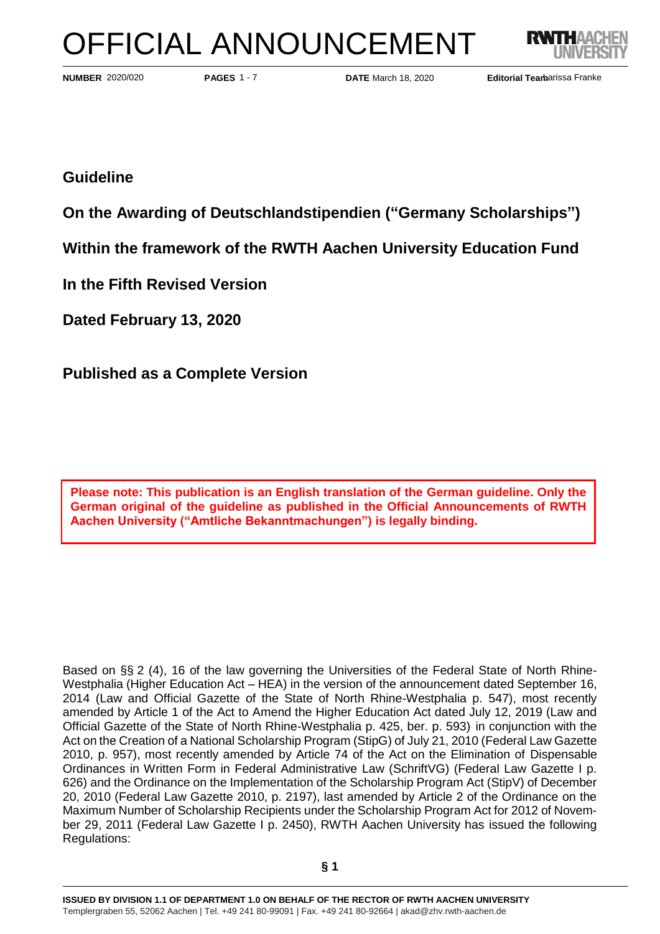# OFFICIAL ANNOUNCEMENT



**PAGES** 1 - 7 **DATE** March 18, 2020 **Editorial Team PAGES** 1 - 7 **DATE** March 18, 2020 **Editorial Team** 

NUMBER 2020/020 **PAGES 1 - 7** DATE March 18, 2020 **Editorial Tearharissa Franke** 

# **Guideline**

**On the Awarding of Deutschlandstipendien ("Germany Scholarships")**

**Within the framework of the RWTH Aachen University Education Fund** 

**In the Fifth Revised Version**

**Dated February 13, 2020**

**Published as a Complete Version**

**Please note: This publication is an English translation of the German guideline. Only the German original of the guideline as published in the Official Announcements of RWTH Aachen University ("Amtliche Bekanntmachungen") is legally binding.**

Based on §§ 2 (4), 16 of the law governing the Universities of the Federal State of North Rhine-Westphalia (Higher Education Act – HEA) in the version of the announcement dated September 16, 2014 (Law and Official Gazette of the State of North Rhine-Westphalia p. 547), most recently amended by Article 1 of the Act to Amend the Higher Education Act dated July 12, 2019 (Law and Official Gazette of the State of North Rhine-Westphalia p. 425, ber. p. 593) in conjunction with the Act on the Creation of a National Scholarship Program (StipG) of July 21, 2010 (Federal Law Gazette 2010, p. 957), most recently amended by Article 74 of the Act on the Elimination of Dispensable Ordinances in Written Form in Federal Administrative Law (SchriftVG) (Federal Law Gazette I p. 626) and the Ordinance on the Implementation of the Scholarship Program Act (StipV) of December 20, 2010 (Federal Law Gazette 2010, p. 2197), last amended by Article 2 of the Ordinance on the Maximum Number of Scholarship Recipients under the Scholarship Program Act for 2012 of November 29, 2011 (Federal Law Gazette I p. 2450), RWTH Aachen University has issued the following Regulations: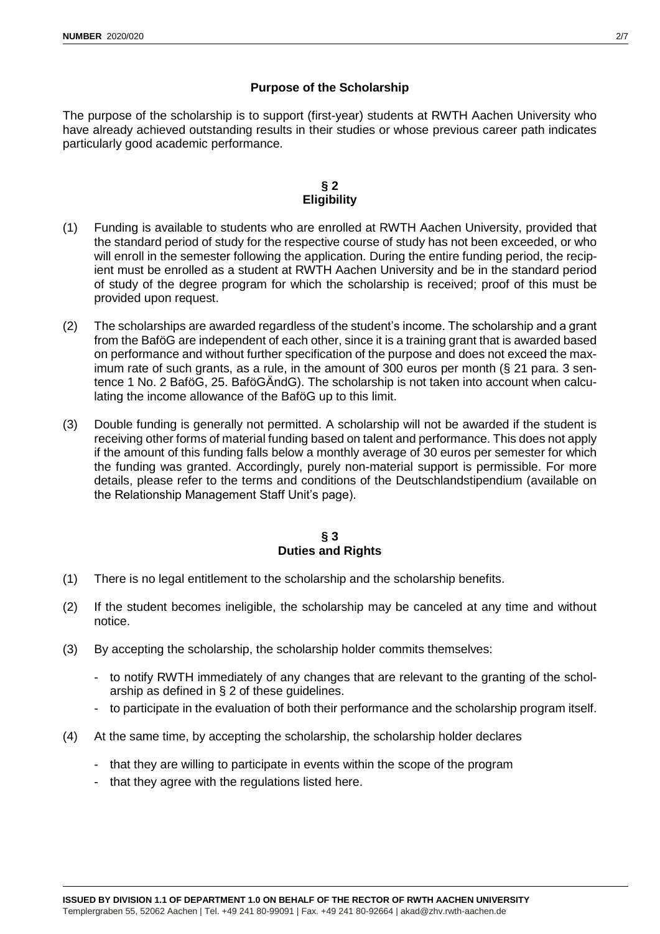## **Purpose of the Scholarship**

The purpose of the scholarship is to support (first-year) students at RWTH Aachen University who have already achieved outstanding results in their studies or whose previous career path indicates particularly good academic performance.

#### **§ 2 Eligibility**

- (1) Funding is available to students who are enrolled at RWTH Aachen University, provided that the standard period of study for the respective course of study has not been exceeded, or who will enroll in the semester following the application. During the entire funding period, the recipient must be enrolled as a student at RWTH Aachen University and be in the standard period of study of the degree program for which the scholarship is received; proof of this must be provided upon request.
- (2) The scholarships are awarded regardless of the student's income. The scholarship and a grant from the BaföG are independent of each other, since it is a training grant that is awarded based on performance and without further specification of the purpose and does not exceed the maximum rate of such grants, as a rule, in the amount of 300 euros per month (§ 21 para. 3 sentence 1 No. 2 BaföG, 25. BaföGÄndG). The scholarship is not taken into account when calculating the income allowance of the BaföG up to this limit.
- (3) Double funding is generally not permitted. A scholarship will not be awarded if the student is receiving other forms of material funding based on talent and performance. This does not apply if the amount of this funding falls below a monthly average of 30 euros per semester for which the funding was granted. Accordingly, purely non-material support is permissible. For more details, please refer to the terms and conditions of the Deutschlandstipendium (available on the Relationship Management Staff Unit's page).

#### **§ 3 Duties and Rights**

- (1) There is no legal entitlement to the scholarship and the scholarship benefits.
- (2) If the student becomes ineligible, the scholarship may be canceled at any time and without notice.
- (3) By accepting the scholarship, the scholarship holder commits themselves:
	- to notify RWTH immediately of any changes that are relevant to the granting of the scholarship as defined in § 2 of these guidelines.
	- to participate in the evaluation of both their performance and the scholarship program itself.
- (4) At the same time, by accepting the scholarship, the scholarship holder declares
	- that they are willing to participate in events within the scope of the program
	- that they agree with the regulations listed here.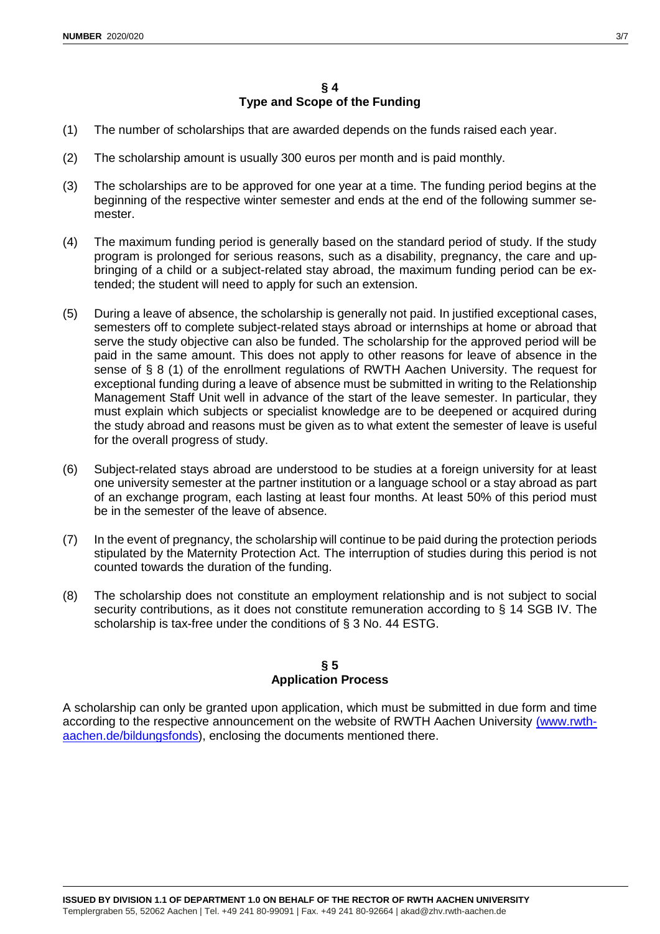- (1) The number of scholarships that are awarded depends on the funds raised each year.
- (2) The scholarship amount is usually 300 euros per month and is paid monthly.
- (3) The scholarships are to be approved for one year at a time. The funding period begins at the beginning of the respective winter semester and ends at the end of the following summer semester.
- (4) The maximum funding period is generally based on the standard period of study. If the study program is prolonged for serious reasons, such as a disability, pregnancy, the care and upbringing of a child or a subject-related stay abroad, the maximum funding period can be extended; the student will need to apply for such an extension.
- (5) During a leave of absence, the scholarship is generally not paid. In justified exceptional cases, semesters off to complete subject-related stays abroad or internships at home or abroad that serve the study objective can also be funded. The scholarship for the approved period will be paid in the same amount. This does not apply to other reasons for leave of absence in the sense of § 8 (1) of the enrollment regulations of RWTH Aachen University. The request for exceptional funding during a leave of absence must be submitted in writing to the Relationship Management Staff Unit well in advance of the start of the leave semester. In particular, they must explain which subjects or specialist knowledge are to be deepened or acquired during the study abroad and reasons must be given as to what extent the semester of leave is useful for the overall progress of study.
- (6) Subject-related stays abroad are understood to be studies at a foreign university for at least one university semester at the partner institution or a language school or a stay abroad as part of an exchange program, each lasting at least four months. At least 50% of this period must be in the semester of the leave of absence.
- (7) In the event of pregnancy, the scholarship will continue to be paid during the protection periods stipulated by the Maternity Protection Act. The interruption of studies during this period is not counted towards the duration of the funding.
- (8) The scholarship does not constitute an employment relationship and is not subject to social security contributions, as it does not constitute remuneration according to § 14 SGB IV. The scholarship is tax-free under the conditions of § 3 No. 44 ESTG.

#### **§ 5 Application Process**

A scholarship can only be granted upon application, which must be submitted in due form and time according to the respective announcement on the website of RWTH Aachen University [\(www.rwth](http://www.rwth-aachen.de/bildungsfonds)[aachen.de/bildungsfonds\)](http://www.rwth-aachen.de/bildungsfonds), enclosing the documents mentioned there.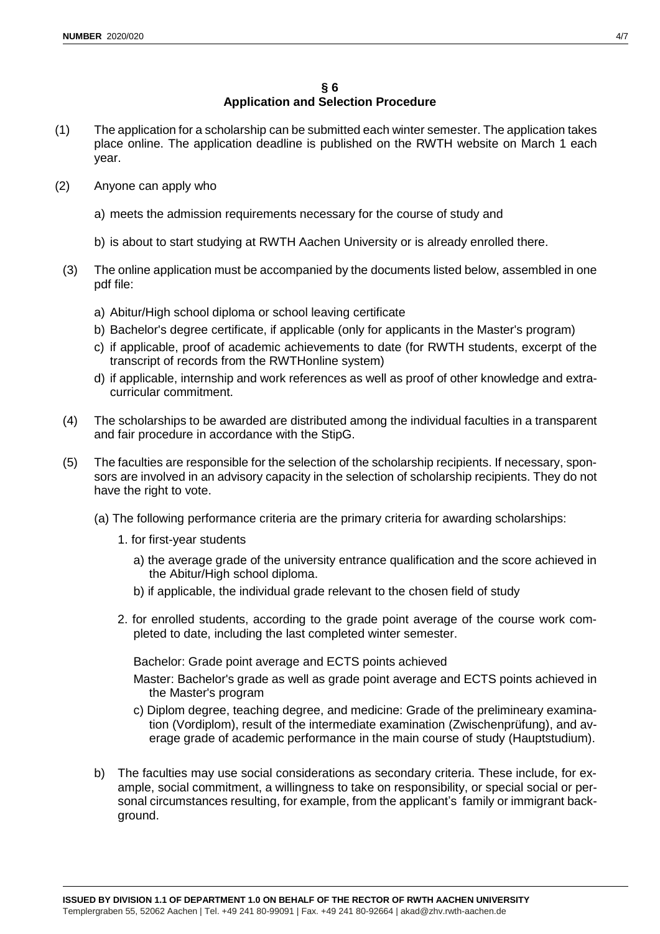### **§ 6 Application and Selection Procedure**

- (1) The application for a scholarship can be submitted each winter semester. The application takes place online. The application deadline is published on the RWTH website on March 1 each year.
- (2) Anyone can apply who
	- a) meets the admission requirements necessary for the course of study and
	- b) is about to start studying at RWTH Aachen University or is already enrolled there.
- (3) The online application must be accompanied by the documents listed below, assembled in one pdf file:
	- a) Abitur/High school diploma or school leaving certificate
	- b) Bachelor's degree certificate, if applicable (only for applicants in the Master's program)
	- c) if applicable, proof of academic achievements to date (for RWTH students, excerpt of the transcript of records from the RWTHonline system)
	- d) if applicable, internship and work references as well as proof of other knowledge and extracurricular commitment.
- (4) The scholarships to be awarded are distributed among the individual faculties in a transparent and fair procedure in accordance with the StipG.
- (5) The faculties are responsible for the selection of the scholarship recipients. If necessary, sponsors are involved in an advisory capacity in the selection of scholarship recipients. They do not have the right to vote.
	- (a) The following performance criteria are the primary criteria for awarding scholarships:
		- 1. for first-year students
			- a) the average grade of the university entrance qualification and the score achieved in the Abitur/High school diploma.
			- b) if applicable, the individual grade relevant to the chosen field of study
		- 2. for enrolled students, according to the grade point average of the course work completed to date, including the last completed winter semester.

Bachelor: Grade point average and ECTS points achieved

- Master: Bachelor's grade as well as grade point average and ECTS points achieved in the Master's program
- c) Diplom degree, teaching degree, and medicine: Grade of the prelimineary examination (Vordiplom), result of the intermediate examination (Zwischenprüfung), and average grade of academic performance in the main course of study (Hauptstudium).
- b) The faculties may use social considerations as secondary criteria. These include, for example, social commitment, a willingness to take on responsibility, or special social or personal circumstances resulting, for example, from the applicant's family or immigrant background.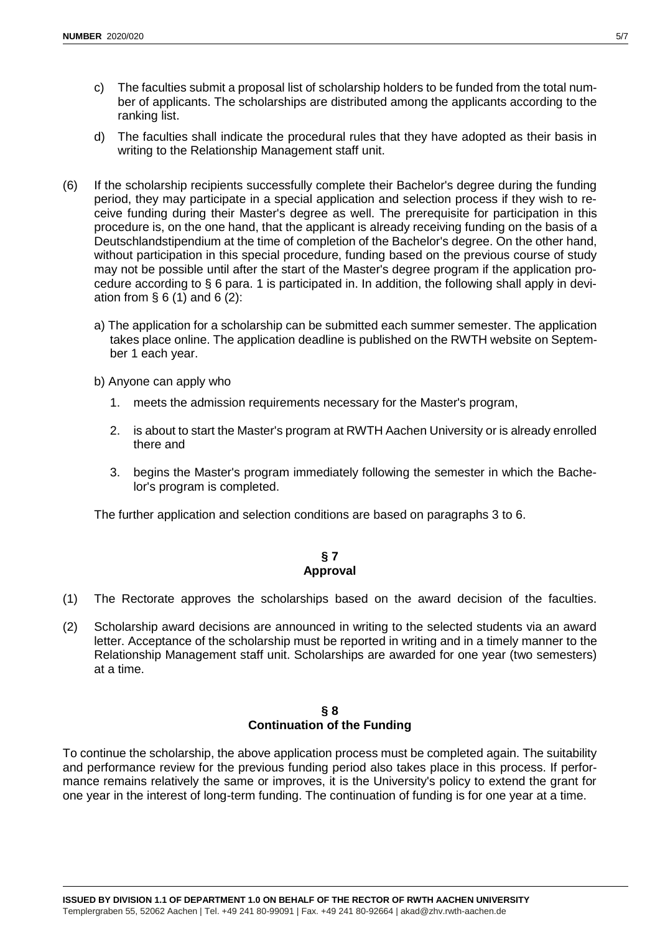- c) The faculties submit a proposal list of scholarship holders to be funded from the total number of applicants. The scholarships are distributed among the applicants according to the ranking list.
- d) The faculties shall indicate the procedural rules that they have adopted as their basis in writing to the Relationship Management staff unit.
- (6) If the scholarship recipients successfully complete their Bachelor's degree during the funding period, they may participate in a special application and selection process if they wish to receive funding during their Master's degree as well. The prerequisite for participation in this procedure is, on the one hand, that the applicant is already receiving funding on the basis of a Deutschlandstipendium at the time of completion of the Bachelor's degree. On the other hand, without participation in this special procedure, funding based on the previous course of study may not be possible until after the start of the Master's degree program if the application procedure according to § 6 para. 1 is participated in. In addition, the following shall apply in deviation from  $\S 6(1)$  and  $6(2)$ :
	- a) The application for a scholarship can be submitted each summer semester. The application takes place online. The application deadline is published on the RWTH website on September 1 each year.
	- b) Anyone can apply who
		- 1. meets the admission requirements necessary for the Master's program,
		- 2. is about to start the Master's program at RWTH Aachen University or is already enrolled there and
		- 3. begins the Master's program immediately following the semester in which the Bachelor's program is completed.

The further application and selection conditions are based on paragraphs 3 to 6.

#### **§ 7 Approval**

- (1) The Rectorate approves the scholarships based on the award decision of the faculties.
- (2) Scholarship award decisions are announced in writing to the selected students via an award letter. Acceptance of the scholarship must be reported in writing and in a timely manner to the Relationship Management staff unit. Scholarships are awarded for one year (two semesters) at a time.

#### **§ 8 Continuation of the Funding**

To continue the scholarship, the above application process must be completed again. The suitability and performance review for the previous funding period also takes place in this process. If performance remains relatively the same or improves, it is the University's policy to extend the grant for one year in the interest of long-term funding. The continuation of funding is for one year at a time.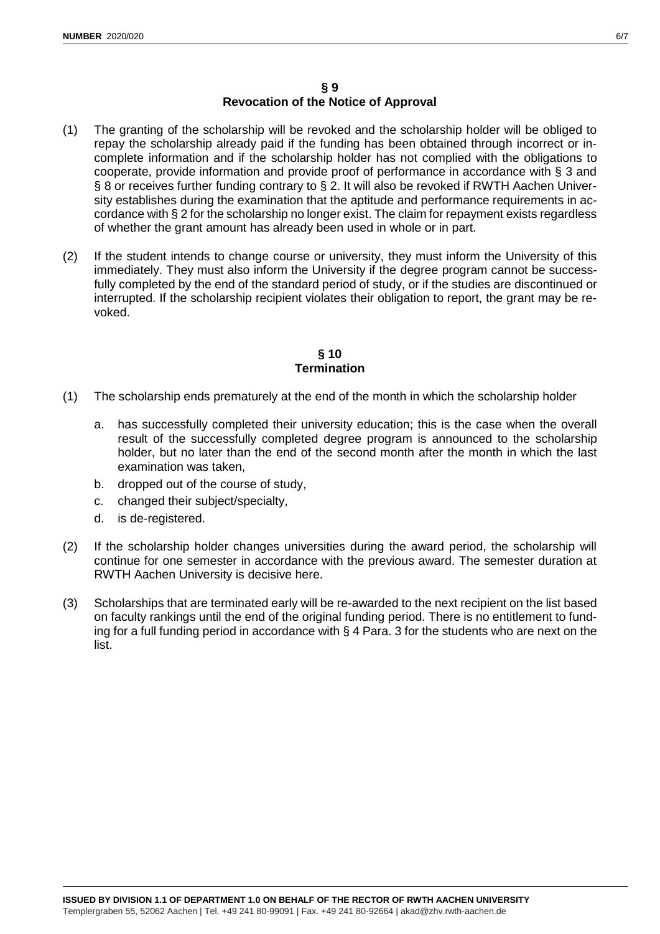#### **§ 9 Revocation of the Notice of Approval**

- (1) The granting of the scholarship will be revoked and the scholarship holder will be obliged to repay the scholarship already paid if the funding has been obtained through incorrect or incomplete information and if the scholarship holder has not complied with the obligations to cooperate, provide information and provide proof of performance in accordance with § 3 and § 8 or receives further funding contrary to § 2. It will also be revoked if RWTH Aachen University establishes during the examination that the aptitude and performance requirements in accordance with § 2 for the scholarship no longer exist. The claim for repayment exists regardless of whether the grant amount has already been used in whole or in part.
- (2) If the student intends to change course or university, they must inform the University of this immediately. They must also inform the University if the degree program cannot be successfully completed by the end of the standard period of study, or if the studies are discontinued or interrupted. If the scholarship recipient violates their obligation to report, the grant may be revoked.

#### **§ 10 Termination**

- (1) The scholarship ends prematurely at the end of the month in which the scholarship holder
	- a. has successfully completed their university education; this is the case when the overall result of the successfully completed degree program is announced to the scholarship holder, but no later than the end of the second month after the month in which the last examination was taken,
	- b. dropped out of the course of study,
	- c. changed their subject/specialty,
	- d. is de-registered.
- (2) If the scholarship holder changes universities during the award period, the scholarship will continue for one semester in accordance with the previous award. The semester duration at RWTH Aachen University is decisive here.
- (3) Scholarships that are terminated early will be re-awarded to the next recipient on the list based on faculty rankings until the end of the original funding period. There is no entitlement to funding for a full funding period in accordance with § 4 Para. 3 for the students who are next on the list.